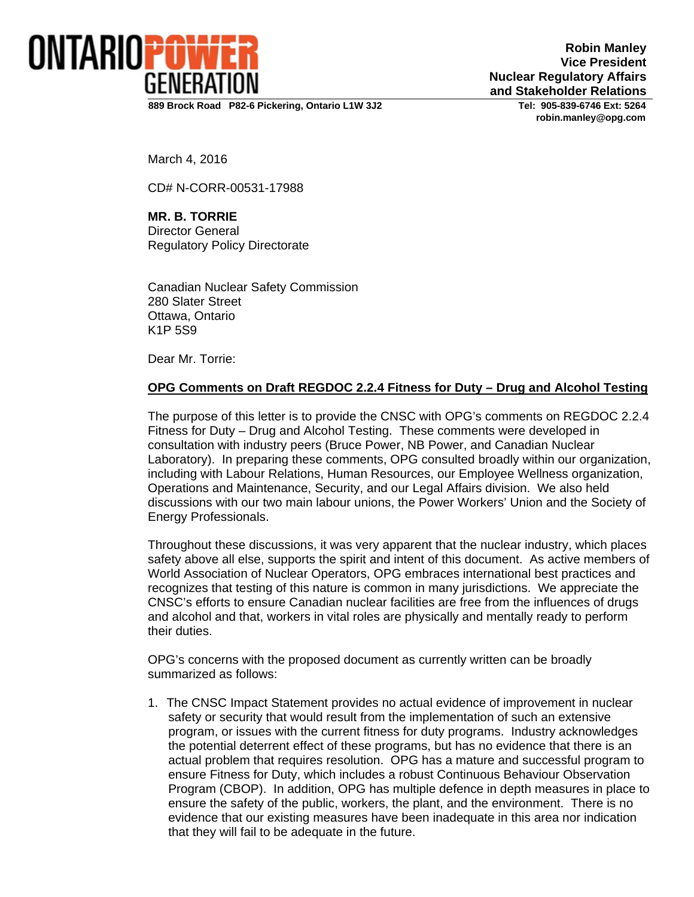

**Robin Manley Vice President Nuclear Regulatory Affairs and Stakeholder Relations**

**889 Brock Road P82-6 Pickering, Ontario L1W 3J2 Tel: 905-839-6746 Ext: 5264** 

 **robin.manley@opg.com** 

March 4, 2016

CD# N-CORR-00531-17988

**MR. B. TORRIE**  Director General Regulatory Policy Directorate

Canadian Nuclear Safety Commission 280 Slater Street Ottawa, Ontario K1P 5S9

Dear Mr. Torrie:

#### **OPG Comments on Draft REGDOC 2.2.4 Fitness for Duty – Drug and Alcohol Testing**

The purpose of this letter is to provide the CNSC with OPG's comments on REGDOC 2.2.4 Fitness for Duty – Drug and Alcohol Testing. These comments were developed in consultation with industry peers (Bruce Power, NB Power, and Canadian Nuclear Laboratory). In preparing these comments, OPG consulted broadly within our organization, including with Labour Relations, Human Resources, our Employee Wellness organization, Operations and Maintenance, Security, and our Legal Affairs division. We also held discussions with our two main labour unions, the Power Workers' Union and the Society of Energy Professionals.

Throughout these discussions, it was very apparent that the nuclear industry, which places safety above all else, supports the spirit and intent of this document. As active members of World Association of Nuclear Operators, OPG embraces international best practices and recognizes that testing of this nature is common in many jurisdictions. We appreciate the CNSC's efforts to ensure Canadian nuclear facilities are free from the influences of drugs and alcohol and that, workers in vital roles are physically and mentally ready to perform their duties.

OPG's concerns with the proposed document as currently written can be broadly summarized as follows:

1. The CNSC Impact Statement provides no actual evidence of improvement in nuclear safety or security that would result from the implementation of such an extensive program, or issues with the current fitness for duty programs. Industry acknowledges the potential deterrent effect of these programs, but has no evidence that there is an actual problem that requires resolution. OPG has a mature and successful program to ensure Fitness for Duty, which includes a robust Continuous Behaviour Observation Program (CBOP). In addition, OPG has multiple defence in depth measures in place to ensure the safety of the public, workers, the plant, and the environment. There is no evidence that our existing measures have been inadequate in this area nor indication that they will fail to be adequate in the future.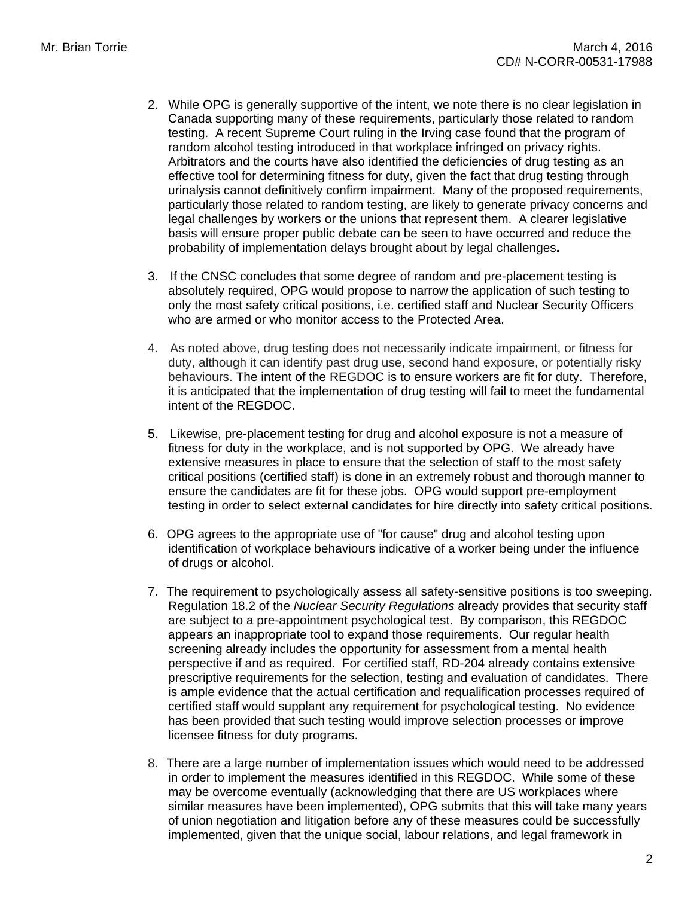- 2. While OPG is generally supportive of the intent, we note there is no clear legislation in Canada supporting many of these requirements, particularly those related to random testing. A recent Supreme Court ruling in the Irving case found that the program of random alcohol testing introduced in that workplace infringed on privacy rights. Arbitrators and the courts have also identified the deficiencies of drug testing as an effective tool for determining fitness for duty, given the fact that drug testing through urinalysis cannot definitively confirm impairment. Many of the proposed requirements, particularly those related to random testing, are likely to generate privacy concerns and legal challenges by workers or the unions that represent them. A clearer legislative basis will ensure proper public debate can be seen to have occurred and reduce the probability of implementation delays brought about by legal challenges**.**
- 3. If the CNSC concludes that some degree of random and pre-placement testing is absolutely required, OPG would propose to narrow the application of such testing to only the most safety critical positions, i.e. certified staff and Nuclear Security Officers who are armed or who monitor access to the Protected Area.
- 4. As noted above, drug testing does not necessarily indicate impairment, or fitness for duty, although it can identify past drug use, second hand exposure, or potentially risky behaviours. The intent of the REGDOC is to ensure workers are fit for duty. Therefore, it is anticipated that the implementation of drug testing will fail to meet the fundamental intent of the REGDOC.
- 5. Likewise, pre-placement testing for drug and alcohol exposure is not a measure of fitness for duty in the workplace, and is not supported by OPG. We already have extensive measures in place to ensure that the selection of staff to the most safety critical positions (certified staff) is done in an extremely robust and thorough manner to ensure the candidates are fit for these jobs. OPG would support pre-employment testing in order to select external candidates for hire directly into safety critical positions.
- 6. OPG agrees to the appropriate use of "for cause" drug and alcohol testing upon identification of workplace behaviours indicative of a worker being under the influence of drugs or alcohol.
- 7. The requirement to psychologically assess all safety-sensitive positions is too sweeping. Regulation 18.2 of the *Nuclear Security Regulations* already provides that security staff are subject to a pre-appointment psychological test. By comparison, this REGDOC appears an inappropriate tool to expand those requirements. Our regular health screening already includes the opportunity for assessment from a mental health perspective if and as required. For certified staff, RD-204 already contains extensive prescriptive requirements for the selection, testing and evaluation of candidates. There is ample evidence that the actual certification and requalification processes required of certified staff would supplant any requirement for psychological testing. No evidence has been provided that such testing would improve selection processes or improve licensee fitness for duty programs.
- 8. There are a large number of implementation issues which would need to be addressed in order to implement the measures identified in this REGDOC. While some of these may be overcome eventually (acknowledging that there are US workplaces where similar measures have been implemented), OPG submits that this will take many years of union negotiation and litigation before any of these measures could be successfully implemented, given that the unique social, labour relations, and legal framework in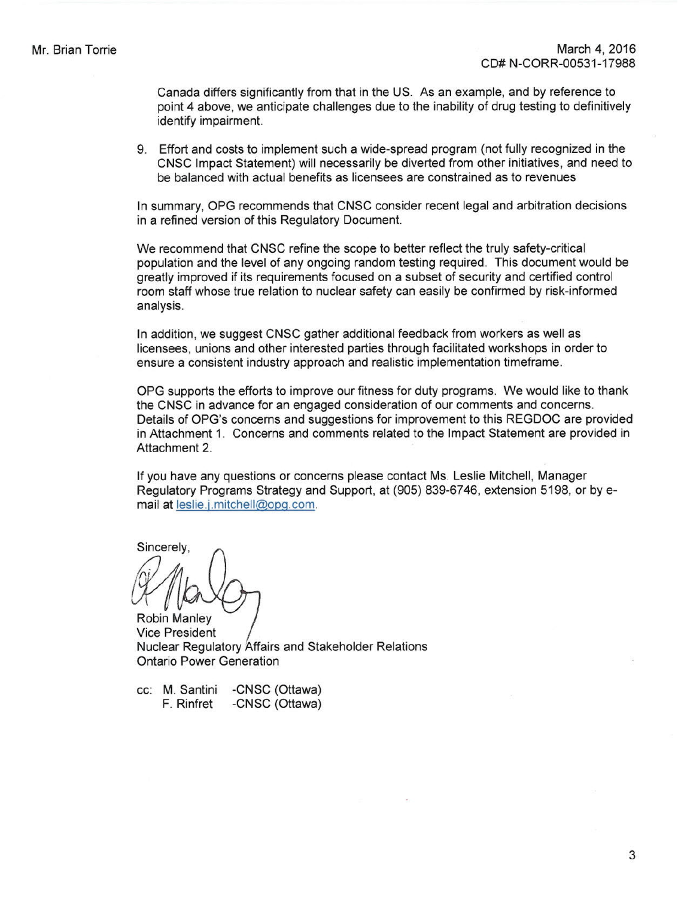Canada differs significantly from that in the US. As an example, and by reference to point 4 above, we anticipate challenges due to the inability of drug testing to definitively identify impairment.

9. Effort and costs to implement such a wide-spread program (not fully recognized in the CNSC Impact Statement) will necessarily be diverted from other initiatives, and need to be balanced with actual benefits as licensees are constrained as to revenues

In summary, OPG recommends that CNSC consider recent legal and arbitration decisions in a refined version of this Regulatory Document.

We recommend that CNSC refine the scope to better reflect the truly safety-critical population and the level of any ongoing random testing required. This document would be greatly improved if its requirements focused on a subset of security and certified control room staff whose true relation to nuclear safety can easily be confirmed by risk-informed analysis.

In addition, we suggest CNSC gather additional feedback from workers as well as licensees, unions and other interested parties through facilitated workshops in order to ensure a consistent industry approach and realistic implementation timeframe.

OPG supports the efforts to improve our fitness for duty programs. We would like to thank the CNSC in advance for an engaged consideration of our comments and concerns. Details of OPG's concerns and suggestions for improvement to this REGDOC are provided in Attachment 1. Concerns and comments related to the Impact Statement are provided in Attachment 2.

If you have any questions or concerns please contact Ms. Leslie Mitchell, Manager Regulatory Programs Strategy and Support, at (905) 839-6746, extension 5198, or by email at [leslie.j.mitchell@opg.com.](mailto:leslie.j.mitchell@opg.com.)

Sincerely.

Robin Manley Vice President Nuclear Regulatory Affairs and Stakeholder Relations Ontario Power Generation

cc: M. Santini F. Rinfret -CNSC (Ottawa) -CNSC (Ottawa)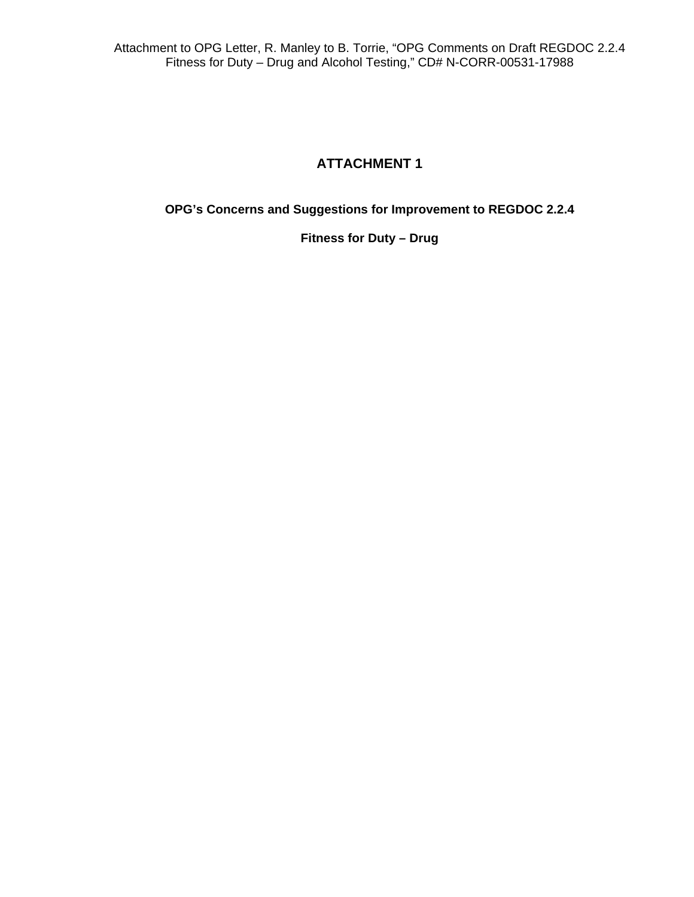#### **ATTACHMENT 1**

**OPG's Concerns and Suggestions for Improvement to REGDOC 2.2.4** 

**Fitness for Duty – Drug**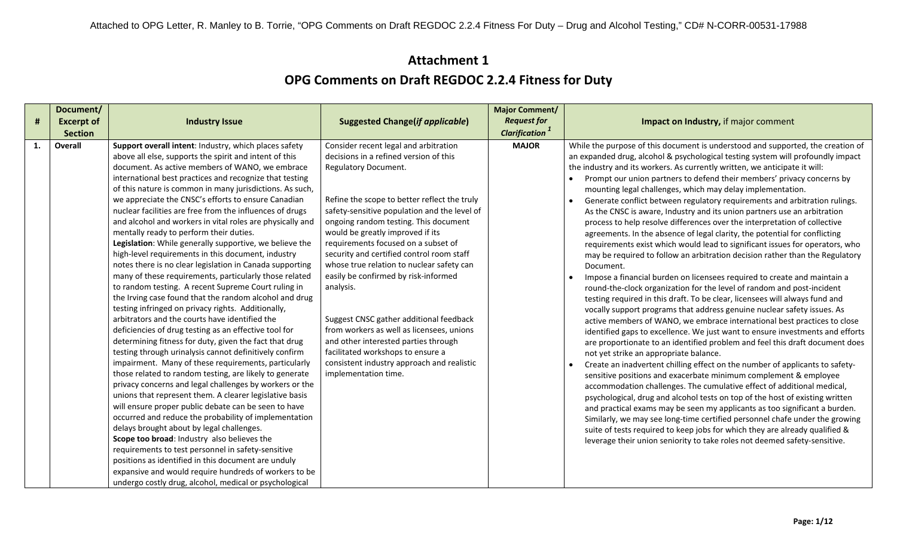|                | Document/         |                                                                                                                                                                                                                                                                                                                                                                                                                                                                                                                                                                                                                                                                                                                                                                                                                                                                                                                                                                                                                                                                                                                                                                                                                                                                                                                                                                                                                                                                                                                                                                                                                                                                                                                                                                                                                                                         |                                                                                                                                                                                                                                                                                                                                                                                                                                                                                                                                                                                                                                                                                                                              | <b>Major Comment/</b>             |                                                                                                                                                                                                                                                                                                                                                                                                                                                                                                                                                                                                                                                                                                                                                                                                                                                                                                                                                                                                                                                                                                                                                                                                                                                                                                                                                                                                                                                                                                                                                                                                                                                                                                                                                                                                                                                                                                                                                                                                                                                                                                                                          |
|----------------|-------------------|---------------------------------------------------------------------------------------------------------------------------------------------------------------------------------------------------------------------------------------------------------------------------------------------------------------------------------------------------------------------------------------------------------------------------------------------------------------------------------------------------------------------------------------------------------------------------------------------------------------------------------------------------------------------------------------------------------------------------------------------------------------------------------------------------------------------------------------------------------------------------------------------------------------------------------------------------------------------------------------------------------------------------------------------------------------------------------------------------------------------------------------------------------------------------------------------------------------------------------------------------------------------------------------------------------------------------------------------------------------------------------------------------------------------------------------------------------------------------------------------------------------------------------------------------------------------------------------------------------------------------------------------------------------------------------------------------------------------------------------------------------------------------------------------------------------------------------------------------------|------------------------------------------------------------------------------------------------------------------------------------------------------------------------------------------------------------------------------------------------------------------------------------------------------------------------------------------------------------------------------------------------------------------------------------------------------------------------------------------------------------------------------------------------------------------------------------------------------------------------------------------------------------------------------------------------------------------------------|-----------------------------------|------------------------------------------------------------------------------------------------------------------------------------------------------------------------------------------------------------------------------------------------------------------------------------------------------------------------------------------------------------------------------------------------------------------------------------------------------------------------------------------------------------------------------------------------------------------------------------------------------------------------------------------------------------------------------------------------------------------------------------------------------------------------------------------------------------------------------------------------------------------------------------------------------------------------------------------------------------------------------------------------------------------------------------------------------------------------------------------------------------------------------------------------------------------------------------------------------------------------------------------------------------------------------------------------------------------------------------------------------------------------------------------------------------------------------------------------------------------------------------------------------------------------------------------------------------------------------------------------------------------------------------------------------------------------------------------------------------------------------------------------------------------------------------------------------------------------------------------------------------------------------------------------------------------------------------------------------------------------------------------------------------------------------------------------------------------------------------------------------------------------------------------|
| $\pmb{\sharp}$ | <b>Excerpt of</b> | <b>Industry Issue</b>                                                                                                                                                                                                                                                                                                                                                                                                                                                                                                                                                                                                                                                                                                                                                                                                                                                                                                                                                                                                                                                                                                                                                                                                                                                                                                                                                                                                                                                                                                                                                                                                                                                                                                                                                                                                                                   | <b>Suggested Change(if applicable)</b>                                                                                                                                                                                                                                                                                                                                                                                                                                                                                                                                                                                                                                                                                       | <b>Request for</b>                | Impact on Industry, if major comment                                                                                                                                                                                                                                                                                                                                                                                                                                                                                                                                                                                                                                                                                                                                                                                                                                                                                                                                                                                                                                                                                                                                                                                                                                                                                                                                                                                                                                                                                                                                                                                                                                                                                                                                                                                                                                                                                                                                                                                                                                                                                                     |
|                | <b>Section</b>    |                                                                                                                                                                                                                                                                                                                                                                                                                                                                                                                                                                                                                                                                                                                                                                                                                                                                                                                                                                                                                                                                                                                                                                                                                                                                                                                                                                                                                                                                                                                                                                                                                                                                                                                                                                                                                                                         |                                                                                                                                                                                                                                                                                                                                                                                                                                                                                                                                                                                                                                                                                                                              | <b>Clarification</b> <sup>1</sup> |                                                                                                                                                                                                                                                                                                                                                                                                                                                                                                                                                                                                                                                                                                                                                                                                                                                                                                                                                                                                                                                                                                                                                                                                                                                                                                                                                                                                                                                                                                                                                                                                                                                                                                                                                                                                                                                                                                                                                                                                                                                                                                                                          |
| 1.             | Overall           | Support overall intent: Industry, which places safety<br>above all else, supports the spirit and intent of this<br>document. As active members of WANO, we embrace<br>international best practices and recognize that testing<br>of this nature is common in many jurisdictions. As such,<br>we appreciate the CNSC's efforts to ensure Canadian<br>nuclear facilities are free from the influences of drugs<br>and alcohol and workers in vital roles are physically and<br>mentally ready to perform their duties.<br>Legislation: While generally supportive, we believe the<br>high-level requirements in this document, industry<br>notes there is no clear legislation in Canada supporting<br>many of these requirements, particularly those related<br>to random testing. A recent Supreme Court ruling in<br>the Irving case found that the random alcohol and drug<br>testing infringed on privacy rights. Additionally,<br>arbitrators and the courts have identified the<br>deficiencies of drug testing as an effective tool for<br>determining fitness for duty, given the fact that drug<br>testing through urinalysis cannot definitively confirm<br>impairment. Many of these requirements, particularly<br>those related to random testing, are likely to generate<br>privacy concerns and legal challenges by workers or the<br>unions that represent them. A clearer legislative basis<br>will ensure proper public debate can be seen to have<br>occurred and reduce the probability of implementation<br>delays brought about by legal challenges.<br>Scope too broad: Industry also believes the<br>requirements to test personnel in safety-sensitive<br>positions as identified in this document are unduly<br>expansive and would require hundreds of workers to be<br>undergo costly drug, alcohol, medical or psychological | Consider recent legal and arbitration<br>decisions in a refined version of this<br><b>Regulatory Document.</b><br>Refine the scope to better reflect the truly<br>safety-sensitive population and the level of<br>ongoing random testing. This document<br>would be greatly improved if its<br>requirements focused on a subset of<br>security and certified control room staff<br>whose true relation to nuclear safety can<br>easily be confirmed by risk-informed<br>analysis.<br>Suggest CNSC gather additional feedback<br>from workers as well as licensees, unions<br>and other interested parties through<br>facilitated workshops to ensure a<br>consistent industry approach and realistic<br>implementation time. | <b>MAJOR</b>                      | While the purpose of this document is understood and supported, the creation of<br>an expanded drug, alcohol & psychological testing system will profoundly impact<br>the industry and its workers. As currently written, we anticipate it will:<br>Prompt our union partners to defend their members' privacy concerns by<br>mounting legal challenges, which may delay implementation.<br>Generate conflict between regulatory requirements and arbitration rulings.<br>As the CNSC is aware, Industry and its union partners use an arbitration<br>process to help resolve differences over the interpretation of collective<br>agreements. In the absence of legal clarity, the potential for conflicting<br>requirements exist which would lead to significant issues for operators, who<br>may be required to follow an arbitration decision rather than the Regulatory<br>Document.<br>Impose a financial burden on licensees required to create and maintain a<br>round-the-clock organization for the level of random and post-incident<br>testing required in this draft. To be clear, licensees will always fund and<br>vocally support programs that address genuine nuclear safety issues. As<br>active members of WANO, we embrace international best practices to close<br>identified gaps to excellence. We just want to ensure investments and efforts<br>are proportionate to an identified problem and feel this draft document does<br>not yet strike an appropriate balance.<br>Create an inadvertent chilling effect on the number of applicants to safety-<br>sensitive positions and exacerbate minimum complement & employee<br>accommodation challenges. The cumulative effect of additional medical,<br>psychological, drug and alcohol tests on top of the host of existing written<br>and practical exams may be seen my applicants as too significant a burden.<br>Similarly, we may see long-time certified personnel chafe under the growing<br>suite of tests required to keep jobs for which they are already qualified &<br>leverage their union seniority to take roles not deemed safety-sensitive. |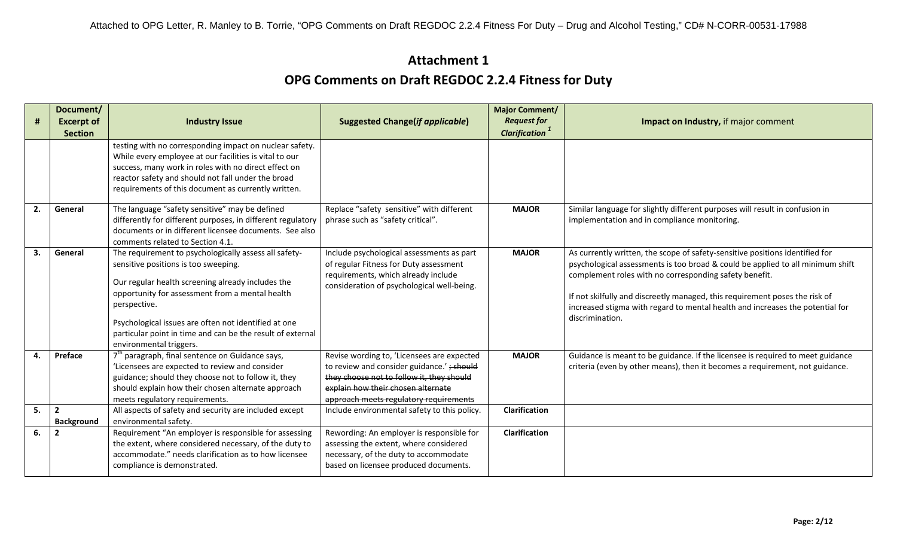| $\pmb{\sharp}$ | Document/<br><b>Excerpt of</b>      | <b>Industry Issue</b>                                                                                                                                                                                                                                                                                                                                                  | <b>Suggested Change(if applicable)</b>                                                                                                                                                                                | <b>Major Comment/</b><br><b>Request for</b> | Impact on Industry, if major comment                                                                                                                                                                                                                                                                                                                                                                        |
|----------------|-------------------------------------|------------------------------------------------------------------------------------------------------------------------------------------------------------------------------------------------------------------------------------------------------------------------------------------------------------------------------------------------------------------------|-----------------------------------------------------------------------------------------------------------------------------------------------------------------------------------------------------------------------|---------------------------------------------|-------------------------------------------------------------------------------------------------------------------------------------------------------------------------------------------------------------------------------------------------------------------------------------------------------------------------------------------------------------------------------------------------------------|
|                | <b>Section</b>                      |                                                                                                                                                                                                                                                                                                                                                                        |                                                                                                                                                                                                                       | <b>Clarification</b> <sup>1</sup>           |                                                                                                                                                                                                                                                                                                                                                                                                             |
|                |                                     | testing with no corresponding impact on nuclear safety.<br>While every employee at our facilities is vital to our<br>success, many work in roles with no direct effect on<br>reactor safety and should not fall under the broad<br>requirements of this document as currently written.                                                                                 |                                                                                                                                                                                                                       |                                             |                                                                                                                                                                                                                                                                                                                                                                                                             |
| 2.             | General                             | The language "safety sensitive" may be defined<br>differently for different purposes, in different regulatory<br>documents or in different licensee documents. See also<br>comments related to Section 4.1.                                                                                                                                                            | Replace "safety sensitive" with different<br>phrase such as "safety critical".                                                                                                                                        | <b>MAJOR</b>                                | Similar language for slightly different purposes will result in confusion in<br>implementation and in compliance monitoring.                                                                                                                                                                                                                                                                                |
| 3.             | General                             | The requirement to psychologically assess all safety-<br>sensitive positions is too sweeping.<br>Our regular health screening already includes the<br>opportunity for assessment from a mental health<br>perspective.<br>Psychological issues are often not identified at one<br>particular point in time and can be the result of external<br>environmental triggers. | Include psychological assessments as part<br>of regular Fitness for Duty assessment<br>requirements, which already include<br>consideration of psychological well-being.                                              | <b>MAJOR</b>                                | As currently written, the scope of safety-sensitive positions identified for<br>psychological assessments is too broad & could be applied to all minimum shift<br>complement roles with no corresponding safety benefit.<br>If not skilfully and discreetly managed, this requirement poses the risk of<br>increased stigma with regard to mental health and increases the potential for<br>discrimination. |
| 4.             | Preface                             | 7 <sup>th</sup> paragraph, final sentence on Guidance says,<br>'Licensees are expected to review and consider<br>guidance; should they choose not to follow it, they<br>should explain how their chosen alternate approach<br>meets regulatory requirements.                                                                                                           | Revise wording to, 'Licensees are expected<br>to review and consider guidance.' ; should<br>they choose not to follow it, they should<br>explain how their chosen alternate<br>approach meets regulatory requirements | <b>MAJOR</b>                                | Guidance is meant to be guidance. If the licensee is required to meet guidance<br>criteria (even by other means), then it becomes a requirement, not guidance.                                                                                                                                                                                                                                              |
| 5.             | $\overline{2}$<br><b>Background</b> | All aspects of safety and security are included except<br>environmental safety.                                                                                                                                                                                                                                                                                        | Include environmental safety to this policy.                                                                                                                                                                          | <b>Clarification</b>                        |                                                                                                                                                                                                                                                                                                                                                                                                             |
| 6.             | $\overline{2}$                      | Requirement "An employer is responsible for assessing<br>the extent, where considered necessary, of the duty to<br>accommodate." needs clarification as to how licensee<br>compliance is demonstrated.                                                                                                                                                                 | Rewording: An employer is responsible for<br>assessing the extent, where considered<br>necessary, of the duty to accommodate<br>based on licensee produced documents.                                                 | <b>Clarification</b>                        |                                                                                                                                                                                                                                                                                                                                                                                                             |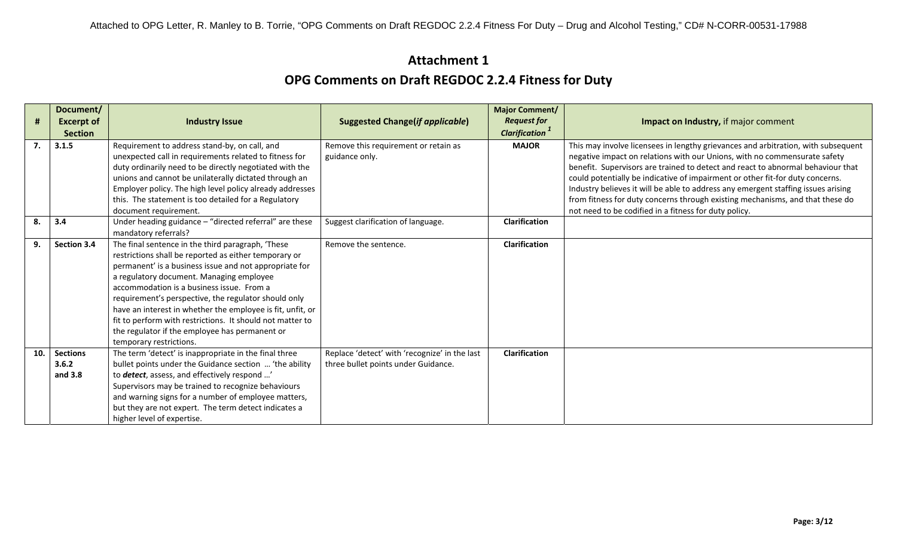|     | Document/                             |                                                                                                                                                                                                                                                                                                                                                                                                                                                                                                                               |                                                                                      | <b>Major Comment/</b>             |                                                                                                                                                                                                                                                                                                                                                                                                                                                                                                          |
|-----|---------------------------------------|-------------------------------------------------------------------------------------------------------------------------------------------------------------------------------------------------------------------------------------------------------------------------------------------------------------------------------------------------------------------------------------------------------------------------------------------------------------------------------------------------------------------------------|--------------------------------------------------------------------------------------|-----------------------------------|----------------------------------------------------------------------------------------------------------------------------------------------------------------------------------------------------------------------------------------------------------------------------------------------------------------------------------------------------------------------------------------------------------------------------------------------------------------------------------------------------------|
| #   | <b>Excerpt of</b>                     | <b>Industry Issue</b>                                                                                                                                                                                                                                                                                                                                                                                                                                                                                                         | <b>Suggested Change(if applicable)</b>                                               | <b>Request for</b>                | Impact on Industry, if major comment                                                                                                                                                                                                                                                                                                                                                                                                                                                                     |
|     | <b>Section</b>                        |                                                                                                                                                                                                                                                                                                                                                                                                                                                                                                                               |                                                                                      | <b>Clarification</b> <sup>1</sup> |                                                                                                                                                                                                                                                                                                                                                                                                                                                                                                          |
| 7.  | 3.1.5                                 | Requirement to address stand-by, on call, and<br>unexpected call in requirements related to fitness for<br>duty ordinarily need to be directly negotiated with the<br>unions and cannot be unilaterally dictated through an<br>Employer policy. The high level policy already addresses<br>this. The statement is too detailed for a Regulatory                                                                                                                                                                               | Remove this requirement or retain as<br>guidance only.                               | <b>MAJOR</b>                      | This may involve licensees in lengthy grievances and arbitration, with subsequent<br>negative impact on relations with our Unions, with no commensurate safety<br>benefit. Supervisors are trained to detect and react to abnormal behaviour that<br>could potentially be indicative of impairment or other fit-for duty concerns.<br>Industry believes it will be able to address any emergent staffing issues arising<br>from fitness for duty concerns through existing mechanisms, and that these do |
|     |                                       | document requirement.                                                                                                                                                                                                                                                                                                                                                                                                                                                                                                         |                                                                                      |                                   | not need to be codified in a fitness for duty policy.                                                                                                                                                                                                                                                                                                                                                                                                                                                    |
| 8.  | 3.4                                   | Under heading guidance - "directed referral" are these<br>mandatory referrals?                                                                                                                                                                                                                                                                                                                                                                                                                                                | Suggest clarification of language.                                                   | <b>Clarification</b>              |                                                                                                                                                                                                                                                                                                                                                                                                                                                                                                          |
| 9.  | Section 3.4                           | The final sentence in the third paragraph, 'These<br>restrictions shall be reported as either temporary or<br>permanent' is a business issue and not appropriate for<br>a regulatory document. Managing employee<br>accommodation is a business issue. From a<br>requirement's perspective, the regulator should only<br>have an interest in whether the employee is fit, unfit, or<br>fit to perform with restrictions. It should not matter to<br>the regulator if the employee has permanent or<br>temporary restrictions. | Remove the sentence.                                                                 | <b>Clarification</b>              |                                                                                                                                                                                                                                                                                                                                                                                                                                                                                                          |
| 10. | <b>Sections</b><br>3.6.2<br>and $3.8$ | The term 'detect' is inappropriate in the final three<br>bullet points under the Guidance section  'the ability<br>to <b>detect</b> , assess, and effectively respond '<br>Supervisors may be trained to recognize behaviours<br>and warning signs for a number of employee matters,<br>but they are not expert. The term detect indicates a<br>higher level of expertise.                                                                                                                                                    | Replace 'detect' with 'recognize' in the last<br>three bullet points under Guidance. | <b>Clarification</b>              |                                                                                                                                                                                                                                                                                                                                                                                                                                                                                                          |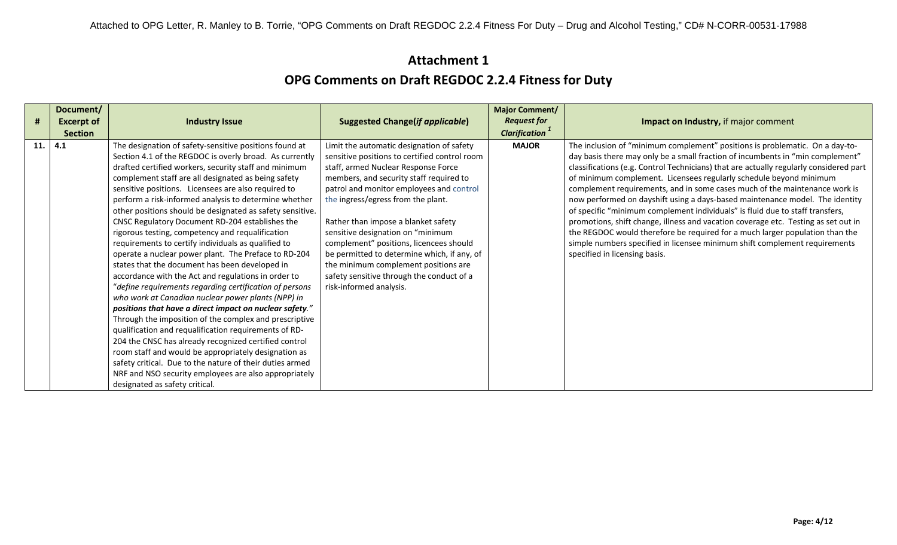|     | Document/         |                                                                                                                                                                                                                                                                                                                                                                                                                                                                                                                                                                                                                                                                                                                                                                                                                                                                                                                                                                                                                                                                                                                                                                                                                                                                                                                      |                                                                                                                                                                                                                                                                                                                                                                                                                                                                                                                                                      | <b>Major Comment/</b>             |                                                                                                                                                                                                                                                                                                                                                                                                                                                                                                                                                                                                                                                                                                                                                                                                                                                                    |
|-----|-------------------|----------------------------------------------------------------------------------------------------------------------------------------------------------------------------------------------------------------------------------------------------------------------------------------------------------------------------------------------------------------------------------------------------------------------------------------------------------------------------------------------------------------------------------------------------------------------------------------------------------------------------------------------------------------------------------------------------------------------------------------------------------------------------------------------------------------------------------------------------------------------------------------------------------------------------------------------------------------------------------------------------------------------------------------------------------------------------------------------------------------------------------------------------------------------------------------------------------------------------------------------------------------------------------------------------------------------|------------------------------------------------------------------------------------------------------------------------------------------------------------------------------------------------------------------------------------------------------------------------------------------------------------------------------------------------------------------------------------------------------------------------------------------------------------------------------------------------------------------------------------------------------|-----------------------------------|--------------------------------------------------------------------------------------------------------------------------------------------------------------------------------------------------------------------------------------------------------------------------------------------------------------------------------------------------------------------------------------------------------------------------------------------------------------------------------------------------------------------------------------------------------------------------------------------------------------------------------------------------------------------------------------------------------------------------------------------------------------------------------------------------------------------------------------------------------------------|
| #   | <b>Excerpt of</b> | <b>Industry Issue</b>                                                                                                                                                                                                                                                                                                                                                                                                                                                                                                                                                                                                                                                                                                                                                                                                                                                                                                                                                                                                                                                                                                                                                                                                                                                                                                | <b>Suggested Change(if applicable)</b>                                                                                                                                                                                                                                                                                                                                                                                                                                                                                                               | <b>Request for</b>                | Impact on Industry, if major comment                                                                                                                                                                                                                                                                                                                                                                                                                                                                                                                                                                                                                                                                                                                                                                                                                               |
|     | <b>Section</b>    |                                                                                                                                                                                                                                                                                                                                                                                                                                                                                                                                                                                                                                                                                                                                                                                                                                                                                                                                                                                                                                                                                                                                                                                                                                                                                                                      |                                                                                                                                                                                                                                                                                                                                                                                                                                                                                                                                                      | <b>Clarification</b> <sup>1</sup> |                                                                                                                                                                                                                                                                                                                                                                                                                                                                                                                                                                                                                                                                                                                                                                                                                                                                    |
| 11. | 4.1               | The designation of safety-sensitive positions found at<br>Section 4.1 of the REGDOC is overly broad. As currently<br>drafted certified workers, security staff and minimum<br>complement staff are all designated as being safety<br>sensitive positions. Licensees are also required to<br>perform a risk-informed analysis to determine whether<br>other positions should be designated as safety sensitive.<br>CNSC Regulatory Document RD-204 establishes the<br>rigorous testing, competency and requalification<br>requirements to certify individuals as qualified to<br>operate a nuclear power plant. The Preface to RD-204<br>states that the document has been developed in<br>accordance with the Act and regulations in order to<br>"define requirements regarding certification of persons<br>who work at Canadian nuclear power plants (NPP) in<br>positions that have a direct impact on nuclear safety."<br>Through the imposition of the complex and prescriptive<br>qualification and requalification requirements of RD-<br>204 the CNSC has already recognized certified control<br>room staff and would be appropriately designation as<br>safety critical. Due to the nature of their duties armed<br>NRF and NSO security employees are also appropriately<br>designated as safety critical. | Limit the automatic designation of safety<br>sensitive positions to certified control room<br>staff, armed Nuclear Response Force<br>members, and security staff required to<br>patrol and monitor employees and control<br>the ingress/egress from the plant.<br>Rather than impose a blanket safety<br>sensitive designation on "minimum<br>complement" positions, licencees should<br>be permitted to determine which, if any, of<br>the minimum complement positions are<br>safety sensitive through the conduct of a<br>risk-informed analysis. | <b>MAJOR</b>                      | The inclusion of "minimum complement" positions is problematic. On a day-to-<br>day basis there may only be a small fraction of incumbents in "min complement"<br>classifications (e.g. Control Technicians) that are actually regularly considered part<br>of minimum complement. Licensees regularly schedule beyond minimum<br>complement requirements, and in some cases much of the maintenance work is<br>now performed on dayshift using a days-based maintenance model. The identity<br>of specific "minimum complement individuals" is fluid due to staff transfers,<br>promotions, shift change, illness and vacation coverage etc. Testing as set out in<br>the REGDOC would therefore be required for a much larger population than the<br>simple numbers specified in licensee minimum shift complement requirements<br>specified in licensing basis. |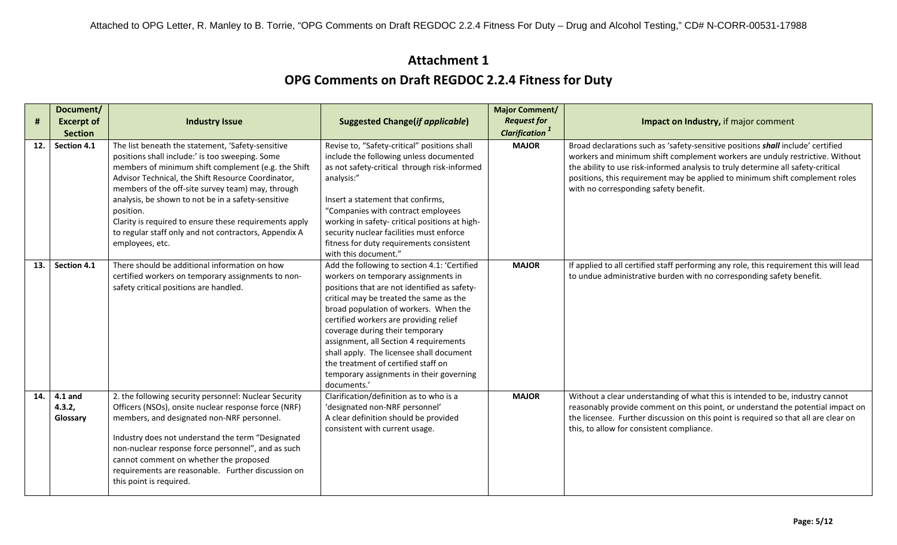| #   | Document/<br><b>Excerpt of</b><br><b>Section</b> | <b>Industry Issue</b>                                                                                                                                                                                                                                                                                                                                                                                                                                                           | <b>Suggested Change(if applicable)</b>                                                                                                                                                                                                                                                                                                                                                                                                                                                       | <b>Major Comment/</b><br><b>Request for</b><br><b>Clarification</b> <sup>1</sup> | Impact on Industry, if major comment                                                                                                                                                                                                                                                                                                                                         |
|-----|--------------------------------------------------|---------------------------------------------------------------------------------------------------------------------------------------------------------------------------------------------------------------------------------------------------------------------------------------------------------------------------------------------------------------------------------------------------------------------------------------------------------------------------------|----------------------------------------------------------------------------------------------------------------------------------------------------------------------------------------------------------------------------------------------------------------------------------------------------------------------------------------------------------------------------------------------------------------------------------------------------------------------------------------------|----------------------------------------------------------------------------------|------------------------------------------------------------------------------------------------------------------------------------------------------------------------------------------------------------------------------------------------------------------------------------------------------------------------------------------------------------------------------|
| 12. | Section 4.1                                      | The list beneath the statement, 'Safety-sensitive<br>positions shall include:' is too sweeping. Some<br>members of minimum shift complement (e.g. the Shift<br>Advisor Technical, the Shift Resource Coordinator,<br>members of the off-site survey team) may, through<br>analysis, be shown to not be in a safety-sensitive<br>position.<br>Clarity is required to ensure these requirements apply<br>to regular staff only and not contractors, Appendix A<br>employees, etc. | Revise to, "Safety-critical" positions shall<br>include the following unless documented<br>as not safety-critical through risk-informed<br>analysis:"<br>Insert a statement that confirms,<br>"Companies with contract employees<br>working in safety- critical positions at high-<br>security nuclear facilities must enforce<br>fitness for duty requirements consistent<br>with this document."                                                                                           | <b>MAJOR</b>                                                                     | Broad declarations such as 'safety-sensitive positions shall include' certified<br>workers and minimum shift complement workers are unduly restrictive. Without<br>the ability to use risk-informed analysis to truly determine all safety-critical<br>positions, this requirement may be applied to minimum shift complement roles<br>with no corresponding safety benefit. |
| 13. | Section 4.1                                      | There should be additional information on how<br>certified workers on temporary assignments to non-<br>safety critical positions are handled.                                                                                                                                                                                                                                                                                                                                   | Add the following to section 4.1: 'Certified<br>workers on temporary assignments in<br>positions that are not identified as safety-<br>critical may be treated the same as the<br>broad population of workers. When the<br>certified workers are providing relief<br>coverage during their temporary<br>assignment, all Section 4 requirements<br>shall apply. The licensee shall document<br>the treatment of certified staff on<br>temporary assignments in their governing<br>documents.' | <b>MAJOR</b>                                                                     | If applied to all certified staff performing any role, this requirement this will lead<br>to undue administrative burden with no corresponding safety benefit.                                                                                                                                                                                                               |
| 14. | 4.1 and<br>4.3.2,<br>Glossary                    | 2. the following security personnel: Nuclear Security<br>Officers (NSOs), onsite nuclear response force (NRF)<br>members, and designated non-NRF personnel.<br>Industry does not understand the term "Designated<br>non-nuclear response force personnel", and as such<br>cannot comment on whether the proposed<br>requirements are reasonable. Further discussion on<br>this point is required.                                                                               | Clarification/definition as to who is a<br>'designated non-NRF personnel'<br>A clear definition should be provided<br>consistent with current usage.                                                                                                                                                                                                                                                                                                                                         | <b>MAJOR</b>                                                                     | Without a clear understanding of what this is intended to be, industry cannot<br>reasonably provide comment on this point, or understand the potential impact on<br>the licensee. Further discussion on this point is required so that all are clear on<br>this, to allow for consistent compliance.                                                                         |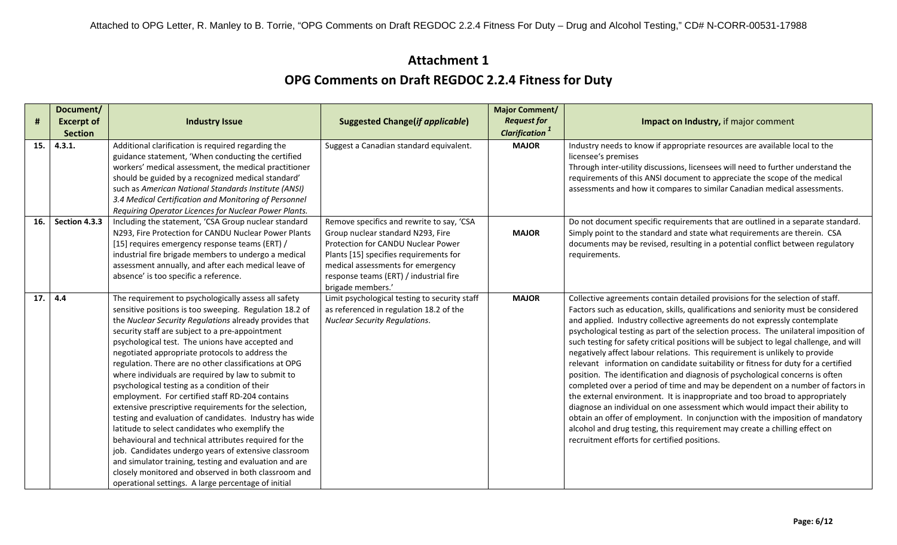| Document/ |                                                                |                                                                                                                                                                                                                                                                                                                                                                                                                                                                                                                                                                                                                                                                                                                                                                                                                                                                                                                                                                                                                                                                                                                                                                                                                                                                                                                                                                                                                                                                                                                                                          | <b>Major Comment/</b>                                                                                                                                                                                                                                                                                                                                   |                                                                                                                                                              |
|-----------|----------------------------------------------------------------|----------------------------------------------------------------------------------------------------------------------------------------------------------------------------------------------------------------------------------------------------------------------------------------------------------------------------------------------------------------------------------------------------------------------------------------------------------------------------------------------------------------------------------------------------------------------------------------------------------------------------------------------------------------------------------------------------------------------------------------------------------------------------------------------------------------------------------------------------------------------------------------------------------------------------------------------------------------------------------------------------------------------------------------------------------------------------------------------------------------------------------------------------------------------------------------------------------------------------------------------------------------------------------------------------------------------------------------------------------------------------------------------------------------------------------------------------------------------------------------------------------------------------------------------------------|---------------------------------------------------------------------------------------------------------------------------------------------------------------------------------------------------------------------------------------------------------------------------------------------------------------------------------------------------------|--------------------------------------------------------------------------------------------------------------------------------------------------------------|
|           |                                                                |                                                                                                                                                                                                                                                                                                                                                                                                                                                                                                                                                                                                                                                                                                                                                                                                                                                                                                                                                                                                                                                                                                                                                                                                                                                                                                                                                                                                                                                                                                                                                          |                                                                                                                                                                                                                                                                                                                                                         | Impact on Industry, if major comment                                                                                                                         |
|           |                                                                |                                                                                                                                                                                                                                                                                                                                                                                                                                                                                                                                                                                                                                                                                                                                                                                                                                                                                                                                                                                                                                                                                                                                                                                                                                                                                                                                                                                                                                                                                                                                                          |                                                                                                                                                                                                                                                                                                                                                         |                                                                                                                                                              |
|           |                                                                |                                                                                                                                                                                                                                                                                                                                                                                                                                                                                                                                                                                                                                                                                                                                                                                                                                                                                                                                                                                                                                                                                                                                                                                                                                                                                                                                                                                                                                                                                                                                                          |                                                                                                                                                                                                                                                                                                                                                         | Industry needs to know if appropriate resources are available local to the                                                                                   |
|           |                                                                |                                                                                                                                                                                                                                                                                                                                                                                                                                                                                                                                                                                                                                                                                                                                                                                                                                                                                                                                                                                                                                                                                                                                                                                                                                                                                                                                                                                                                                                                                                                                                          |                                                                                                                                                                                                                                                                                                                                                         | licensee's premises                                                                                                                                          |
|           |                                                                |                                                                                                                                                                                                                                                                                                                                                                                                                                                                                                                                                                                                                                                                                                                                                                                                                                                                                                                                                                                                                                                                                                                                                                                                                                                                                                                                                                                                                                                                                                                                                          |                                                                                                                                                                                                                                                                                                                                                         | Through inter-utility discussions, licensees will need to further understand the                                                                             |
|           |                                                                |                                                                                                                                                                                                                                                                                                                                                                                                                                                                                                                                                                                                                                                                                                                                                                                                                                                                                                                                                                                                                                                                                                                                                                                                                                                                                                                                                                                                                                                                                                                                                          |                                                                                                                                                                                                                                                                                                                                                         | requirements of this ANSI document to appreciate the scope of the medical                                                                                    |
|           |                                                                |                                                                                                                                                                                                                                                                                                                                                                                                                                                                                                                                                                                                                                                                                                                                                                                                                                                                                                                                                                                                                                                                                                                                                                                                                                                                                                                                                                                                                                                                                                                                                          |                                                                                                                                                                                                                                                                                                                                                         | assessments and how it compares to similar Canadian medical assessments.                                                                                     |
|           |                                                                |                                                                                                                                                                                                                                                                                                                                                                                                                                                                                                                                                                                                                                                                                                                                                                                                                                                                                                                                                                                                                                                                                                                                                                                                                                                                                                                                                                                                                                                                                                                                                          |                                                                                                                                                                                                                                                                                                                                                         |                                                                                                                                                              |
|           |                                                                |                                                                                                                                                                                                                                                                                                                                                                                                                                                                                                                                                                                                                                                                                                                                                                                                                                                                                                                                                                                                                                                                                                                                                                                                                                                                                                                                                                                                                                                                                                                                                          |                                                                                                                                                                                                                                                                                                                                                         |                                                                                                                                                              |
|           |                                                                |                                                                                                                                                                                                                                                                                                                                                                                                                                                                                                                                                                                                                                                                                                                                                                                                                                                                                                                                                                                                                                                                                                                                                                                                                                                                                                                                                                                                                                                                                                                                                          |                                                                                                                                                                                                                                                                                                                                                         | Do not document specific requirements that are outlined in a separate standard.<br>Simply point to the standard and state what requirements are therein. CSA |
|           |                                                                |                                                                                                                                                                                                                                                                                                                                                                                                                                                                                                                                                                                                                                                                                                                                                                                                                                                                                                                                                                                                                                                                                                                                                                                                                                                                                                                                                                                                                                                                                                                                                          |                                                                                                                                                                                                                                                                                                                                                         | documents may be revised, resulting in a potential conflict between regulatory                                                                               |
|           |                                                                |                                                                                                                                                                                                                                                                                                                                                                                                                                                                                                                                                                                                                                                                                                                                                                                                                                                                                                                                                                                                                                                                                                                                                                                                                                                                                                                                                                                                                                                                                                                                                          |                                                                                                                                                                                                                                                                                                                                                         | requirements.                                                                                                                                                |
|           |                                                                |                                                                                                                                                                                                                                                                                                                                                                                                                                                                                                                                                                                                                                                                                                                                                                                                                                                                                                                                                                                                                                                                                                                                                                                                                                                                                                                                                                                                                                                                                                                                                          |                                                                                                                                                                                                                                                                                                                                                         |                                                                                                                                                              |
|           |                                                                |                                                                                                                                                                                                                                                                                                                                                                                                                                                                                                                                                                                                                                                                                                                                                                                                                                                                                                                                                                                                                                                                                                                                                                                                                                                                                                                                                                                                                                                                                                                                                          |                                                                                                                                                                                                                                                                                                                                                         |                                                                                                                                                              |
|           |                                                                |                                                                                                                                                                                                                                                                                                                                                                                                                                                                                                                                                                                                                                                                                                                                                                                                                                                                                                                                                                                                                                                                                                                                                                                                                                                                                                                                                                                                                                                                                                                                                          |                                                                                                                                                                                                                                                                                                                                                         |                                                                                                                                                              |
| 4.4       | The requirement to psychologically assess all safety           | Limit psychological testing to security staff                                                                                                                                                                                                                                                                                                                                                                                                                                                                                                                                                                                                                                                                                                                                                                                                                                                                                                                                                                                                                                                                                                                                                                                                                                                                                                                                                                                                                                                                                                            | <b>MAJOR</b>                                                                                                                                                                                                                                                                                                                                            | Collective agreements contain detailed provisions for the selection of staff.                                                                                |
|           |                                                                | as referenced in regulation 18.2 of the                                                                                                                                                                                                                                                                                                                                                                                                                                                                                                                                                                                                                                                                                                                                                                                                                                                                                                                                                                                                                                                                                                                                                                                                                                                                                                                                                                                                                                                                                                                  |                                                                                                                                                                                                                                                                                                                                                         | Factors such as education, skills, qualifications and seniority must be considered                                                                           |
|           | the Nuclear Security Regulations already provides that         | <b>Nuclear Security Regulations.</b>                                                                                                                                                                                                                                                                                                                                                                                                                                                                                                                                                                                                                                                                                                                                                                                                                                                                                                                                                                                                                                                                                                                                                                                                                                                                                                                                                                                                                                                                                                                     |                                                                                                                                                                                                                                                                                                                                                         | and applied. Industry collective agreements do not expressly contemplate                                                                                     |
|           | security staff are subject to a pre-appointment                |                                                                                                                                                                                                                                                                                                                                                                                                                                                                                                                                                                                                                                                                                                                                                                                                                                                                                                                                                                                                                                                                                                                                                                                                                                                                                                                                                                                                                                                                                                                                                          |                                                                                                                                                                                                                                                                                                                                                         | psychological testing as part of the selection process. The unilateral imposition of                                                                         |
|           | psychological test. The unions have accepted and               |                                                                                                                                                                                                                                                                                                                                                                                                                                                                                                                                                                                                                                                                                                                                                                                                                                                                                                                                                                                                                                                                                                                                                                                                                                                                                                                                                                                                                                                                                                                                                          |                                                                                                                                                                                                                                                                                                                                                         | such testing for safety critical positions will be subject to legal challenge, and will                                                                      |
|           |                                                                |                                                                                                                                                                                                                                                                                                                                                                                                                                                                                                                                                                                                                                                                                                                                                                                                                                                                                                                                                                                                                                                                                                                                                                                                                                                                                                                                                                                                                                                                                                                                                          |                                                                                                                                                                                                                                                                                                                                                         | negatively affect labour relations. This requirement is unlikely to provide                                                                                  |
|           |                                                                |                                                                                                                                                                                                                                                                                                                                                                                                                                                                                                                                                                                                                                                                                                                                                                                                                                                                                                                                                                                                                                                                                                                                                                                                                                                                                                                                                                                                                                                                                                                                                          |                                                                                                                                                                                                                                                                                                                                                         | relevant information on candidate suitability or fitness for duty for a certified                                                                            |
|           |                                                                |                                                                                                                                                                                                                                                                                                                                                                                                                                                                                                                                                                                                                                                                                                                                                                                                                                                                                                                                                                                                                                                                                                                                                                                                                                                                                                                                                                                                                                                                                                                                                          |                                                                                                                                                                                                                                                                                                                                                         | position. The identification and diagnosis of psychological concerns is often                                                                                |
|           |                                                                |                                                                                                                                                                                                                                                                                                                                                                                                                                                                                                                                                                                                                                                                                                                                                                                                                                                                                                                                                                                                                                                                                                                                                                                                                                                                                                                                                                                                                                                                                                                                                          |                                                                                                                                                                                                                                                                                                                                                         | completed over a period of time and may be dependent on a number of factors in                                                                               |
|           |                                                                |                                                                                                                                                                                                                                                                                                                                                                                                                                                                                                                                                                                                                                                                                                                                                                                                                                                                                                                                                                                                                                                                                                                                                                                                                                                                                                                                                                                                                                                                                                                                                          |                                                                                                                                                                                                                                                                                                                                                         | the external environment. It is inappropriate and too broad to appropriately                                                                                 |
|           |                                                                |                                                                                                                                                                                                                                                                                                                                                                                                                                                                                                                                                                                                                                                                                                                                                                                                                                                                                                                                                                                                                                                                                                                                                                                                                                                                                                                                                                                                                                                                                                                                                          |                                                                                                                                                                                                                                                                                                                                                         | diagnose an individual on one assessment which would impact their ability to                                                                                 |
|           |                                                                |                                                                                                                                                                                                                                                                                                                                                                                                                                                                                                                                                                                                                                                                                                                                                                                                                                                                                                                                                                                                                                                                                                                                                                                                                                                                                                                                                                                                                                                                                                                                                          |                                                                                                                                                                                                                                                                                                                                                         | obtain an offer of employment. In conjunction with the imposition of mandatory                                                                               |
|           |                                                                |                                                                                                                                                                                                                                                                                                                                                                                                                                                                                                                                                                                                                                                                                                                                                                                                                                                                                                                                                                                                                                                                                                                                                                                                                                                                                                                                                                                                                                                                                                                                                          |                                                                                                                                                                                                                                                                                                                                                         | alcohol and drug testing, this requirement may create a chilling effect on                                                                                   |
|           |                                                                |                                                                                                                                                                                                                                                                                                                                                                                                                                                                                                                                                                                                                                                                                                                                                                                                                                                                                                                                                                                                                                                                                                                                                                                                                                                                                                                                                                                                                                                                                                                                                          |                                                                                                                                                                                                                                                                                                                                                         | recruitment efforts for certified positions.                                                                                                                 |
|           |                                                                |                                                                                                                                                                                                                                                                                                                                                                                                                                                                                                                                                                                                                                                                                                                                                                                                                                                                                                                                                                                                                                                                                                                                                                                                                                                                                                                                                                                                                                                                                                                                                          |                                                                                                                                                                                                                                                                                                                                                         |                                                                                                                                                              |
|           |                                                                |                                                                                                                                                                                                                                                                                                                                                                                                                                                                                                                                                                                                                                                                                                                                                                                                                                                                                                                                                                                                                                                                                                                                                                                                                                                                                                                                                                                                                                                                                                                                                          |                                                                                                                                                                                                                                                                                                                                                         |                                                                                                                                                              |
|           |                                                                |                                                                                                                                                                                                                                                                                                                                                                                                                                                                                                                                                                                                                                                                                                                                                                                                                                                                                                                                                                                                                                                                                                                                                                                                                                                                                                                                                                                                                                                                                                                                                          |                                                                                                                                                                                                                                                                                                                                                         |                                                                                                                                                              |
|           | <b>Excerpt of</b><br><b>Section</b><br>4.3.1.<br>Section 4.3.3 | <b>Industry Issue</b><br>Additional clarification is required regarding the<br>guidance statement, 'When conducting the certified<br>workers' medical assessment, the medical practitioner<br>should be guided by a recognized medical standard'<br>such as American National Standards Institute (ANSI)<br>3.4 Medical Certification and Monitoring of Personnel<br>Requiring Operator Licences for Nuclear Power Plants.<br>Including the statement, 'CSA Group nuclear standard<br>N293, Fire Protection for CANDU Nuclear Power Plants<br>[15] requires emergency response teams (ERT) /<br>industrial fire brigade members to undergo a medical<br>assessment annually, and after each medical leave of<br>absence' is too specific a reference.<br>sensitive positions is too sweeping. Regulation 18.2 of<br>negotiated appropriate protocols to address the<br>regulation. There are no other classifications at OPG<br>where individuals are required by law to submit to<br>psychological testing as a condition of their<br>employment. For certified staff RD-204 contains<br>extensive prescriptive requirements for the selection,<br>testing and evaluation of candidates. Industry has wide<br>latitude to select candidates who exemplify the<br>behavioural and technical attributes required for the<br>job. Candidates undergo years of extensive classroom<br>and simulator training, testing and evaluation and are<br>closely monitored and observed in both classroom and<br>operational settings. A large percentage of initial | <b>Suggested Change(if applicable)</b><br>Suggest a Canadian standard equivalent.<br>Remove specifics and rewrite to say, 'CSA<br>Group nuclear standard N293, Fire<br>Protection for CANDU Nuclear Power<br>Plants [15] specifies requirements for<br>medical assessments for emergency<br>response teams (ERT) / industrial fire<br>brigade members.' | <b>Request for</b><br><b>Clarification</b> <sup>1</sup><br><b>MAJOR</b><br><b>MAJOR</b>                                                                      |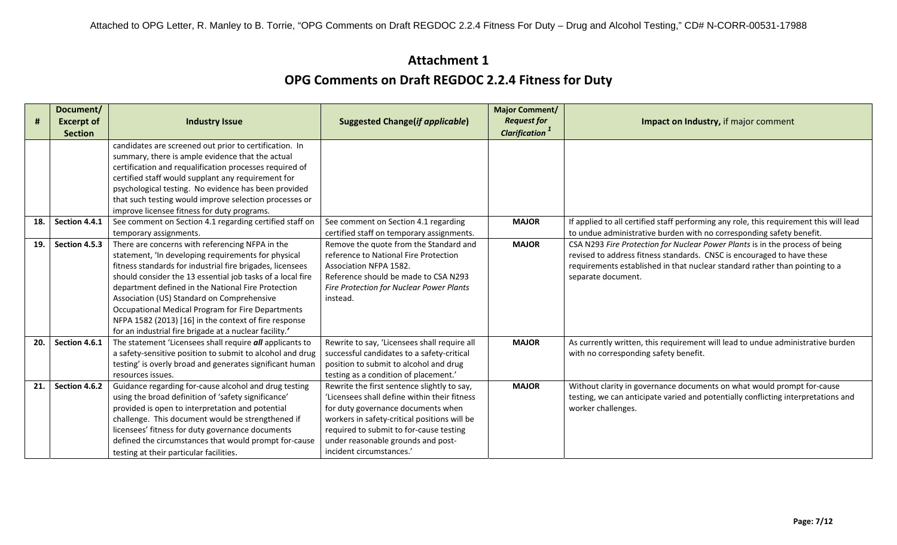| #   | Document/<br><b>Excerpt of</b> | <b>Industry Issue</b>                                                                                       | <b>Suggested Change(if applicable)</b>       | <b>Major Comment/</b><br><b>Request for</b> | Impact on Industry, if major comment                                                   |
|-----|--------------------------------|-------------------------------------------------------------------------------------------------------------|----------------------------------------------|---------------------------------------------|----------------------------------------------------------------------------------------|
|     | <b>Section</b>                 |                                                                                                             |                                              | <b>Clarification</b> <sup>1</sup>           |                                                                                        |
|     |                                | candidates are screened out prior to certification. In                                                      |                                              |                                             |                                                                                        |
|     |                                | summary, there is ample evidence that the actual<br>certification and requalification processes required of |                                              |                                             |                                                                                        |
|     |                                | certified staff would supplant any requirement for                                                          |                                              |                                             |                                                                                        |
|     |                                | psychological testing. No evidence has been provided                                                        |                                              |                                             |                                                                                        |
|     |                                | that such testing would improve selection processes or                                                      |                                              |                                             |                                                                                        |
|     |                                | improve licensee fitness for duty programs.                                                                 |                                              |                                             |                                                                                        |
| 18. | Section 4.4.1                  | See comment on Section 4.1 regarding certified staff on                                                     | See comment on Section 4.1 regarding         | <b>MAJOR</b>                                | If applied to all certified staff performing any role, this requirement this will lead |
|     |                                | temporary assignments.                                                                                      | certified staff on temporary assignments.    |                                             | to undue administrative burden with no corresponding safety benefit.                   |
| 19. | Section 4.5.3                  | There are concerns with referencing NFPA in the                                                             | Remove the quote from the Standard and       | <b>MAJOR</b>                                | CSA N293 Fire Protection for Nuclear Power Plants is in the process of being           |
|     |                                | statement, 'In developing requirements for physical                                                         | reference to National Fire Protection        |                                             | revised to address fitness standards. CNSC is encouraged to have these                 |
|     |                                | fitness standards for industrial fire brigades, licensees                                                   | <b>Association NFPA 1582.</b>                |                                             | requirements established in that nuclear standard rather than pointing to a            |
|     |                                | should consider the 13 essential job tasks of a local fire                                                  | Reference should be made to CSA N293         |                                             | separate document.                                                                     |
|     |                                | department defined in the National Fire Protection                                                          | Fire Protection for Nuclear Power Plants     |                                             |                                                                                        |
|     |                                | Association (US) Standard on Comprehensive                                                                  | instead.                                     |                                             |                                                                                        |
|     |                                | Occupational Medical Program for Fire Departments                                                           |                                              |                                             |                                                                                        |
|     |                                | NFPA 1582 (2013) [16] in the context of fire response                                                       |                                              |                                             |                                                                                        |
|     |                                | for an industrial fire brigade at a nuclear facility.'                                                      |                                              |                                             |                                                                                        |
| 20. | Section 4.6.1                  | The statement 'Licensees shall require all applicants to                                                    | Rewrite to say, 'Licensees shall require all | <b>MAJOR</b>                                | As currently written, this requirement will lead to undue administrative burden        |
|     |                                | a safety-sensitive position to submit to alcohol and drug                                                   | successful candidates to a safety-critical   |                                             | with no corresponding safety benefit.                                                  |
|     |                                | testing' is overly broad and generates significant human                                                    | position to submit to alcohol and drug       |                                             |                                                                                        |
|     |                                | resources issues.                                                                                           | testing as a condition of placement.'        |                                             |                                                                                        |
| 21. | Section 4.6.2                  | Guidance regarding for-cause alcohol and drug testing                                                       | Rewrite the first sentence slightly to say,  | <b>MAJOR</b>                                | Without clarity in governance documents on what would prompt for-cause                 |
|     |                                | using the broad definition of 'safety significance'                                                         | 'Licensees shall define within their fitness |                                             | testing, we can anticipate varied and potentially conflicting interpretations and      |
|     |                                | provided is open to interpretation and potential                                                            | for duty governance documents when           |                                             | worker challenges.                                                                     |
|     |                                | challenge. This document would be strengthened if                                                           | workers in safety-critical positions will be |                                             |                                                                                        |
|     |                                | licensees' fitness for duty governance documents                                                            | required to submit to for-cause testing      |                                             |                                                                                        |
|     |                                | defined the circumstances that would prompt for-cause                                                       | under reasonable grounds and post-           |                                             |                                                                                        |
|     |                                | testing at their particular facilities.                                                                     | incident circumstances.'                     |                                             |                                                                                        |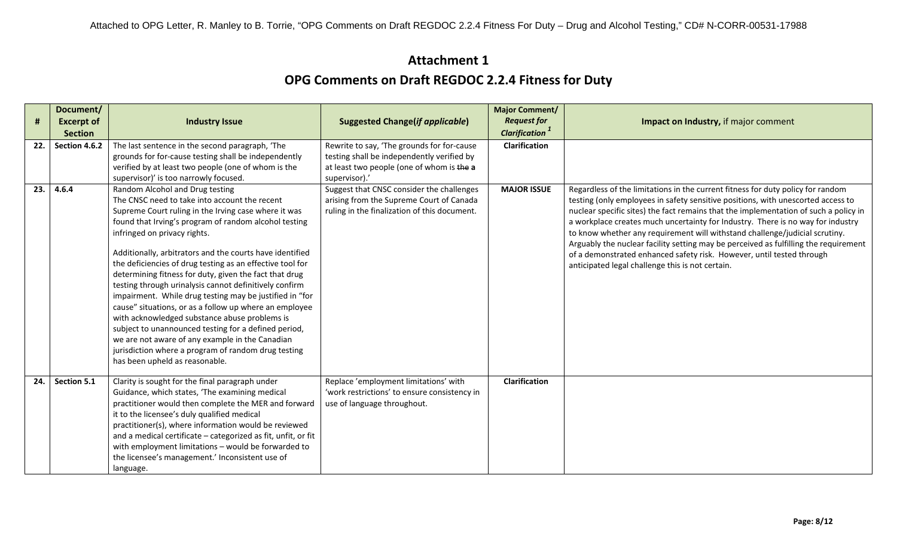|            | Document/         |                                                               |                                              | <b>Major Comment/</b>             |                                                                                      |
|------------|-------------------|---------------------------------------------------------------|----------------------------------------------|-----------------------------------|--------------------------------------------------------------------------------------|
| $\pmb{\#}$ | <b>Excerpt of</b> | <b>Industry Issue</b>                                         | <b>Suggested Change(if applicable)</b>       | <b>Request for</b>                | Impact on Industry, if major comment                                                 |
|            | <b>Section</b>    |                                                               |                                              | <b>Clarification</b> <sup>1</sup> |                                                                                      |
| 22.        | Section 4.6.2     | The last sentence in the second paragraph, 'The               | Rewrite to say, 'The grounds for for-cause   | <b>Clarification</b>              |                                                                                      |
|            |                   | grounds for for-cause testing shall be independently          | testing shall be independently verified by   |                                   |                                                                                      |
|            |                   | verified by at least two people (one of whom is the           | at least two people (one of whom is the a    |                                   |                                                                                      |
|            |                   | supervisor)' is too narrowly focused.                         | supervisor).'                                |                                   |                                                                                      |
| 23.        | 4.6.4             | Random Alcohol and Drug testing                               | Suggest that CNSC consider the challenges    | <b>MAJOR ISSUE</b>                | Regardless of the limitations in the current fitness for duty policy for random      |
|            |                   | The CNSC need to take into account the recent                 | arising from the Supreme Court of Canada     |                                   | testing (only employees in safety sensitive positions, with unescorted access to     |
|            |                   | Supreme Court ruling in the Irving case where it was          | ruling in the finalization of this document. |                                   | nuclear specific sites) the fact remains that the implementation of such a policy in |
|            |                   | found that Irving's program of random alcohol testing         |                                              |                                   | a workplace creates much uncertainty for Industry. There is no way for industry      |
|            |                   | infringed on privacy rights.                                  |                                              |                                   | to know whether any requirement will withstand challenge/judicial scrutiny.          |
|            |                   |                                                               |                                              |                                   | Arguably the nuclear facility setting may be perceived as fulfilling the requirement |
|            |                   | Additionally, arbitrators and the courts have identified      |                                              |                                   | of a demonstrated enhanced safety risk. However, until tested through                |
|            |                   | the deficiencies of drug testing as an effective tool for     |                                              |                                   | anticipated legal challenge this is not certain.                                     |
|            |                   | determining fitness for duty, given the fact that drug        |                                              |                                   |                                                                                      |
|            |                   | testing through urinalysis cannot definitively confirm        |                                              |                                   |                                                                                      |
|            |                   | impairment. While drug testing may be justified in "for       |                                              |                                   |                                                                                      |
|            |                   | cause" situations, or as a follow up where an employee        |                                              |                                   |                                                                                      |
|            |                   | with acknowledged substance abuse problems is                 |                                              |                                   |                                                                                      |
|            |                   | subject to unannounced testing for a defined period,          |                                              |                                   |                                                                                      |
|            |                   | we are not aware of any example in the Canadian               |                                              |                                   |                                                                                      |
|            |                   | jurisdiction where a program of random drug testing           |                                              |                                   |                                                                                      |
|            |                   | has been upheld as reasonable.                                |                                              |                                   |                                                                                      |
| 24.        | Section 5.1       | Clarity is sought for the final paragraph under               | Replace 'employment limitations' with        | Clarification                     |                                                                                      |
|            |                   | Guidance, which states, 'The examining medical                | 'work restrictions' to ensure consistency in |                                   |                                                                                      |
|            |                   | practitioner would then complete the MER and forward          | use of language throughout.                  |                                   |                                                                                      |
|            |                   | it to the licensee's duly qualified medical                   |                                              |                                   |                                                                                      |
|            |                   | practitioner(s), where information would be reviewed          |                                              |                                   |                                                                                      |
|            |                   | and a medical certificate - categorized as fit, unfit, or fit |                                              |                                   |                                                                                      |
|            |                   | with employment limitations - would be forwarded to           |                                              |                                   |                                                                                      |
|            |                   | the licensee's management.' Inconsistent use of               |                                              |                                   |                                                                                      |
|            |                   | language.                                                     |                                              |                                   |                                                                                      |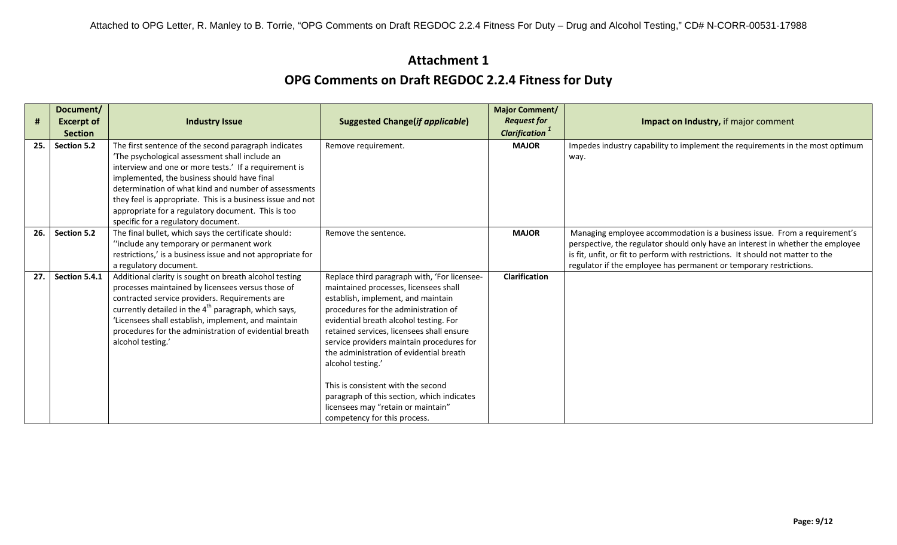| #   | Document/<br><b>Excerpt of</b> | <b>Industry Issue</b>                                                                                                                                                                                                                                                                                                                                                                                                             | <b>Suggested Change(if applicable)</b>                                                                                                                                                                                                                                                                                                                                                                                                                                                                                            | <b>Major Comment/</b><br><b>Request for</b><br><b>Clarification</b> <sup>1</sup> | Impact on Industry, if major comment                                                                                                                                                                                                                                                                                  |
|-----|--------------------------------|-----------------------------------------------------------------------------------------------------------------------------------------------------------------------------------------------------------------------------------------------------------------------------------------------------------------------------------------------------------------------------------------------------------------------------------|-----------------------------------------------------------------------------------------------------------------------------------------------------------------------------------------------------------------------------------------------------------------------------------------------------------------------------------------------------------------------------------------------------------------------------------------------------------------------------------------------------------------------------------|----------------------------------------------------------------------------------|-----------------------------------------------------------------------------------------------------------------------------------------------------------------------------------------------------------------------------------------------------------------------------------------------------------------------|
| 25. | <b>Section</b><br>Section 5.2  | The first sentence of the second paragraph indicates<br>'The psychological assessment shall include an<br>interview and one or more tests.' If a requirement is<br>implemented, the business should have final<br>determination of what kind and number of assessments<br>they feel is appropriate. This is a business issue and not<br>appropriate for a regulatory document. This is too<br>specific for a regulatory document. | Remove requirement.                                                                                                                                                                                                                                                                                                                                                                                                                                                                                                               | <b>MAJOR</b>                                                                     | Impedes industry capability to implement the requirements in the most optimum<br>way.                                                                                                                                                                                                                                 |
| 26. | Section 5.2                    | The final bullet, which says the certificate should:<br>"include any temporary or permanent work<br>restrictions,' is a business issue and not appropriate for<br>a regulatory document.                                                                                                                                                                                                                                          | Remove the sentence.                                                                                                                                                                                                                                                                                                                                                                                                                                                                                                              | <b>MAJOR</b>                                                                     | Managing employee accommodation is a business issue. From a requirement's<br>perspective, the regulator should only have an interest in whether the employee<br>is fit, unfit, or fit to perform with restrictions. It should not matter to the<br>regulator if the employee has permanent or temporary restrictions. |
| 27. | Section 5.4.1                  | Additional clarity is sought on breath alcohol testing<br>processes maintained by licensees versus those of<br>contracted service providers. Requirements are<br>currently detailed in the 4 <sup>th</sup> paragraph, which says,<br>'Licensees shall establish, implement, and maintain<br>procedures for the administration of evidential breath<br>alcohol testing.'                                                           | Replace third paragraph with, 'For licensee-<br>maintained processes, licensees shall<br>establish, implement, and maintain<br>procedures for the administration of<br>evidential breath alcohol testing. For<br>retained services, licensees shall ensure<br>service providers maintain procedures for<br>the administration of evidential breath<br>alcohol testing.'<br>This is consistent with the second<br>paragraph of this section, which indicates<br>licensees may "retain or maintain"<br>competency for this process. | <b>Clarification</b>                                                             |                                                                                                                                                                                                                                                                                                                       |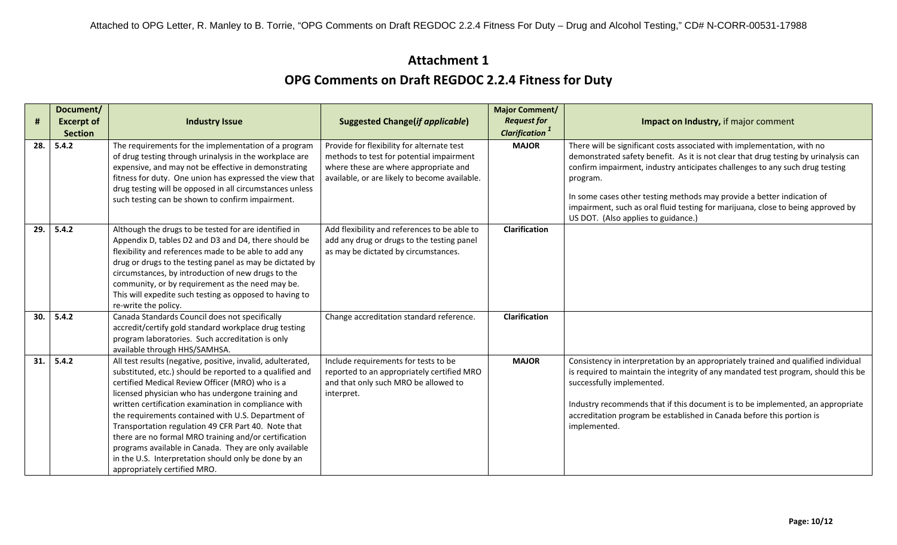| #   | Document/<br><b>Excerpt of</b> | <b>Industry Issue</b>                                                                                                                                                                                                                                                                                                                                                                                                                                                                                                                                                                                          | <b>Suggested Change(if applicable)</b>                                                                                                                                           | <b>Major Comment/</b><br><b>Request for</b><br><b>Clarification</b> <sup>1</sup> | Impact on Industry, if major comment                                                                                                                                                                                                                                                                                                                                                                                                                            |
|-----|--------------------------------|----------------------------------------------------------------------------------------------------------------------------------------------------------------------------------------------------------------------------------------------------------------------------------------------------------------------------------------------------------------------------------------------------------------------------------------------------------------------------------------------------------------------------------------------------------------------------------------------------------------|----------------------------------------------------------------------------------------------------------------------------------------------------------------------------------|----------------------------------------------------------------------------------|-----------------------------------------------------------------------------------------------------------------------------------------------------------------------------------------------------------------------------------------------------------------------------------------------------------------------------------------------------------------------------------------------------------------------------------------------------------------|
| 28. | <b>Section</b><br>5.4.2        | The requirements for the implementation of a program<br>of drug testing through urinalysis in the workplace are<br>expensive, and may not be effective in demonstrating<br>fitness for duty. One union has expressed the view that<br>drug testing will be opposed in all circumstances unless<br>such testing can be shown to confirm impairment.                                                                                                                                                                                                                                                             | Provide for flexibility for alternate test<br>methods to test for potential impairment<br>where these are where appropriate and<br>available, or are likely to become available. | <b>MAJOR</b>                                                                     | There will be significant costs associated with implementation, with no<br>demonstrated safety benefit. As it is not clear that drug testing by urinalysis can<br>confirm impairment, industry anticipates challenges to any such drug testing<br>program.<br>In some cases other testing methods may provide a better indication of<br>impairment, such as oral fluid testing for marijuana, close to being approved by<br>US DOT. (Also applies to guidance.) |
| 29. | 5.4.2                          | Although the drugs to be tested for are identified in<br>Appendix D, tables D2 and D3 and D4, there should be<br>flexibility and references made to be able to add any<br>drug or drugs to the testing panel as may be dictated by<br>circumstances, by introduction of new drugs to the<br>community, or by requirement as the need may be.<br>This will expedite such testing as opposed to having to<br>re-write the policy.                                                                                                                                                                                | Add flexibility and references to be able to<br>add any drug or drugs to the testing panel<br>as may be dictated by circumstances.                                               | Clarification                                                                    |                                                                                                                                                                                                                                                                                                                                                                                                                                                                 |
| 30. | 5.4.2                          | Canada Standards Council does not specifically<br>accredit/certify gold standard workplace drug testing<br>program laboratories. Such accreditation is only<br>available through HHS/SAMHSA.                                                                                                                                                                                                                                                                                                                                                                                                                   | Change accreditation standard reference.                                                                                                                                         | <b>Clarification</b>                                                             |                                                                                                                                                                                                                                                                                                                                                                                                                                                                 |
| 31. | 5.4.2                          | All test results (negative, positive, invalid, adulterated,<br>substituted, etc.) should be reported to a qualified and<br>certified Medical Review Officer (MRO) who is a<br>licensed physician who has undergone training and<br>written certification examination in compliance with<br>the requirements contained with U.S. Department of<br>Transportation regulation 49 CFR Part 40. Note that<br>there are no formal MRO training and/or certification<br>programs available in Canada. They are only available<br>in the U.S. Interpretation should only be done by an<br>appropriately certified MRO. | Include requirements for tests to be<br>reported to an appropriately certified MRO<br>and that only such MRO be allowed to<br>interpret.                                         | <b>MAJOR</b>                                                                     | Consistency in interpretation by an appropriately trained and qualified individual<br>is required to maintain the integrity of any mandated test program, should this be<br>successfully implemented.<br>Industry recommends that if this document is to be implemented, an appropriate<br>accreditation program be established in Canada before this portion is<br>implemented.                                                                                |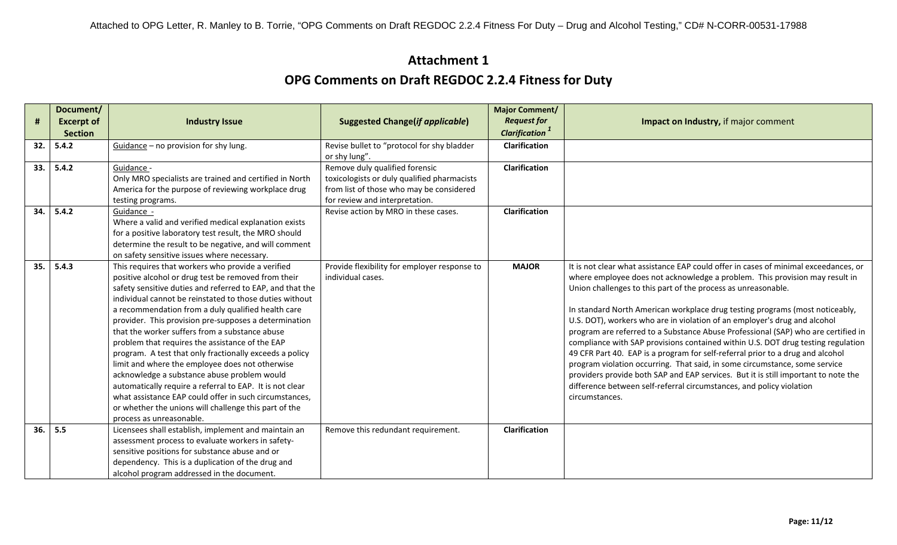|     | Document/         |                                                                                                          |                                                                   | <b>Major Comment/</b>             |                                                                                                                                              |
|-----|-------------------|----------------------------------------------------------------------------------------------------------|-------------------------------------------------------------------|-----------------------------------|----------------------------------------------------------------------------------------------------------------------------------------------|
| #   | <b>Excerpt of</b> | <b>Industry Issue</b>                                                                                    | <b>Suggested Change(if applicable)</b>                            | <b>Request for</b>                | <b>Impact on Industry, if major comment</b>                                                                                                  |
|     | <b>Section</b>    |                                                                                                          |                                                                   | <b>Clarification</b> <sup>1</sup> |                                                                                                                                              |
| 32. | 5.4.2             | Guidance - no provision for shy lung.                                                                    | Revise bullet to "protocol for shy bladder                        | Clarification                     |                                                                                                                                              |
|     |                   |                                                                                                          | or shy lung".                                                     |                                   |                                                                                                                                              |
| 33. | 5.4.2             | Guidance -                                                                                               | Remove duly qualified forensic                                    | <b>Clarification</b>              |                                                                                                                                              |
|     |                   | Only MRO specialists are trained and certified in North                                                  | toxicologists or duly qualified pharmacists                       |                                   |                                                                                                                                              |
|     |                   | America for the purpose of reviewing workplace drug                                                      | from list of those who may be considered                          |                                   |                                                                                                                                              |
|     |                   | testing programs.                                                                                        | for review and interpretation.                                    |                                   |                                                                                                                                              |
| 34. | 5.4.2             | Guidance -                                                                                               | Revise action by MRO in these cases.                              | <b>Clarification</b>              |                                                                                                                                              |
|     |                   | Where a valid and verified medical explanation exists                                                    |                                                                   |                                   |                                                                                                                                              |
|     |                   | for a positive laboratory test result, the MRO should                                                    |                                                                   |                                   |                                                                                                                                              |
|     |                   | determine the result to be negative, and will comment                                                    |                                                                   |                                   |                                                                                                                                              |
|     |                   | on safety sensitive issues where necessary.                                                              |                                                                   |                                   |                                                                                                                                              |
| 35. | 5.4.3             | This requires that workers who provide a verified<br>positive alcohol or drug test be removed from their | Provide flexibility for employer response to<br>individual cases. | <b>MAJOR</b>                      | It is not clear what assistance EAP could offer in cases of minimal exceedances, or                                                          |
|     |                   | safety sensitive duties and referred to EAP, and that the                                                |                                                                   |                                   | where employee does not acknowledge a problem. This provision may result in<br>Union challenges to this part of the process as unreasonable. |
|     |                   | individual cannot be reinstated to those duties without                                                  |                                                                   |                                   |                                                                                                                                              |
|     |                   | a recommendation from a duly qualified health care                                                       |                                                                   |                                   | In standard North American workplace drug testing programs (most noticeably,                                                                 |
|     |                   | provider. This provision pre-supposes a determination                                                    |                                                                   |                                   | U.S. DOT), workers who are in violation of an employer's drug and alcohol                                                                    |
|     |                   | that the worker suffers from a substance abuse                                                           |                                                                   |                                   | program are referred to a Substance Abuse Professional (SAP) who are certified in                                                            |
|     |                   | problem that requires the assistance of the EAP                                                          |                                                                   |                                   | compliance with SAP provisions contained within U.S. DOT drug testing regulation                                                             |
|     |                   | program. A test that only fractionally exceeds a policy                                                  |                                                                   |                                   | 49 CFR Part 40. EAP is a program for self-referral prior to a drug and alcohol                                                               |
|     |                   | limit and where the employee does not otherwise                                                          |                                                                   |                                   | program violation occurring. That said, in some circumstance, some service                                                                   |
|     |                   | acknowledge a substance abuse problem would                                                              |                                                                   |                                   | providers provide both SAP and EAP services. But it is still important to note the                                                           |
|     |                   | automatically require a referral to EAP. It is not clear                                                 |                                                                   |                                   | difference between self-referral circumstances, and policy violation                                                                         |
|     |                   | what assistance EAP could offer in such circumstances,                                                   |                                                                   |                                   | circumstances.                                                                                                                               |
|     |                   | or whether the unions will challenge this part of the                                                    |                                                                   |                                   |                                                                                                                                              |
|     |                   | process as unreasonable.                                                                                 |                                                                   |                                   |                                                                                                                                              |
| 36. | 5.5               | Licensees shall establish, implement and maintain an                                                     | Remove this redundant requirement.                                | Clarification                     |                                                                                                                                              |
|     |                   | assessment process to evaluate workers in safety-                                                        |                                                                   |                                   |                                                                                                                                              |
|     |                   | sensitive positions for substance abuse and or                                                           |                                                                   |                                   |                                                                                                                                              |
|     |                   | dependency. This is a duplication of the drug and                                                        |                                                                   |                                   |                                                                                                                                              |
|     |                   | alcohol program addressed in the document.                                                               |                                                                   |                                   |                                                                                                                                              |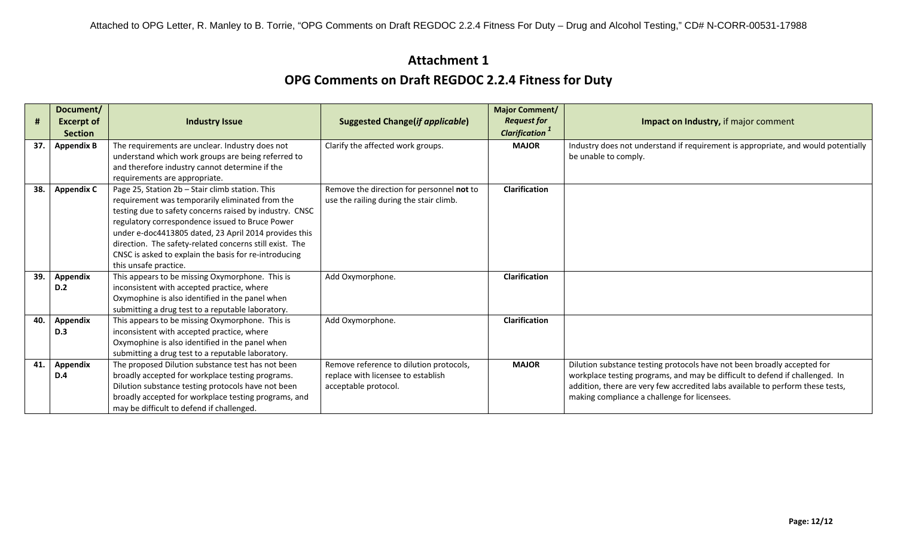|     | Document/         |                                                                                                          |                                           | <b>Major Comment/</b>             |                                                                                   |
|-----|-------------------|----------------------------------------------------------------------------------------------------------|-------------------------------------------|-----------------------------------|-----------------------------------------------------------------------------------|
| Ħ   | <b>Excerpt of</b> | <b>Industry Issue</b>                                                                                    | <b>Suggested Change(if applicable)</b>    | <b>Request for</b>                | Impact on Industry, if major comment                                              |
|     | <b>Section</b>    |                                                                                                          |                                           | <b>Clarification</b> <sup>1</sup> |                                                                                   |
| 37. | <b>Appendix B</b> | The requirements are unclear. Industry does not                                                          | Clarify the affected work groups.         | <b>MAJOR</b>                      | Industry does not understand if requirement is appropriate, and would potentially |
|     |                   | understand which work groups are being referred to                                                       |                                           |                                   | be unable to comply.                                                              |
|     |                   | and therefore industry cannot determine if the                                                           |                                           |                                   |                                                                                   |
|     |                   | requirements are appropriate.                                                                            |                                           |                                   |                                                                                   |
| 38. | <b>Appendix C</b> | Page 25, Station 2b - Stair climb station. This                                                          | Remove the direction for personnel not to | Clarification                     |                                                                                   |
|     |                   | requirement was temporarily eliminated from the                                                          | use the railing during the stair climb.   |                                   |                                                                                   |
|     |                   | testing due to safety concerns raised by industry. CNSC                                                  |                                           |                                   |                                                                                   |
|     |                   | regulatory correspondence issued to Bruce Power<br>under e-doc4413805 dated, 23 April 2014 provides this |                                           |                                   |                                                                                   |
|     |                   | direction. The safety-related concerns still exist. The                                                  |                                           |                                   |                                                                                   |
|     |                   | CNSC is asked to explain the basis for re-introducing                                                    |                                           |                                   |                                                                                   |
|     |                   | this unsafe practice.                                                                                    |                                           |                                   |                                                                                   |
| 39. | <b>Appendix</b>   | This appears to be missing Oxymorphone. This is                                                          | Add Oxymorphone.                          | <b>Clarification</b>              |                                                                                   |
|     | D.2               | inconsistent with accepted practice, where                                                               |                                           |                                   |                                                                                   |
|     |                   | Oxymophine is also identified in the panel when                                                          |                                           |                                   |                                                                                   |
|     |                   | submitting a drug test to a reputable laboratory.                                                        |                                           |                                   |                                                                                   |
| 40. | <b>Appendix</b>   | This appears to be missing Oxymorphone. This is                                                          | Add Oxymorphone.                          | <b>Clarification</b>              |                                                                                   |
|     | <b>D.3</b>        | inconsistent with accepted practice, where                                                               |                                           |                                   |                                                                                   |
|     |                   | Oxymophine is also identified in the panel when                                                          |                                           |                                   |                                                                                   |
|     |                   | submitting a drug test to a reputable laboratory.                                                        |                                           |                                   |                                                                                   |
| 41. | Appendix          | The proposed Dilution substance test has not been                                                        | Remove reference to dilution protocols,   | <b>MAJOR</b>                      | Dilution substance testing protocols have not been broadly accepted for           |
|     | D.4               | broadly accepted for workplace testing programs.                                                         | replace with licensee to establish        |                                   | workplace testing programs, and may be difficult to defend if challenged. In      |
|     |                   | Dilution substance testing protocols have not been                                                       | acceptable protocol.                      |                                   | addition, there are very few accredited labs available to perform these tests,    |
|     |                   | broadly accepted for workplace testing programs, and                                                     |                                           |                                   | making compliance a challenge for licensees.                                      |
|     |                   | may be difficult to defend if challenged.                                                                |                                           |                                   |                                                                                   |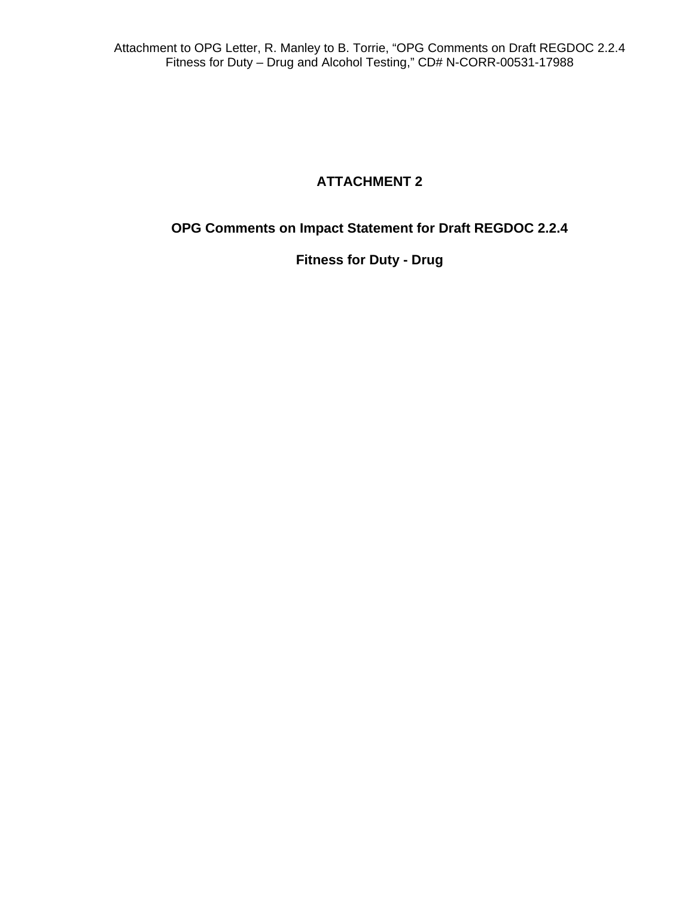#### **ATTACHMENT 2**

**OPG Comments on Impact Statement for Draft REGDOC 2.2.4** 

**Fitness for Duty - Drug**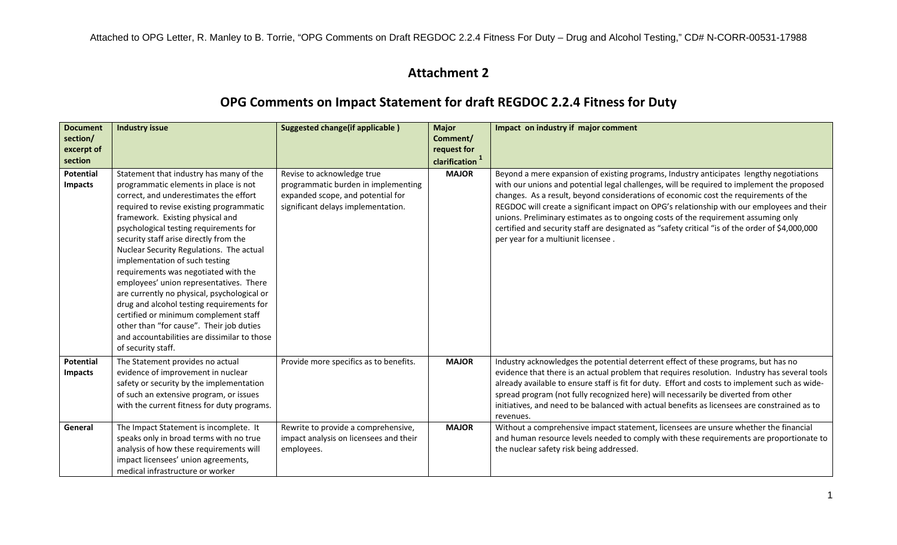#### **Attachment 2**

#### **OPG Comments on Impact Statement for draft REGDOC 2.2.4 Fitness for Duty**

| <b>Document</b><br>section/<br>excerpt of<br>section | <b>Industry issue</b>                                                                                                                                                                                                                                                                                                                                                                                                                                                                                                                                                                                                                                                                                                  | <b>Suggested change(if applicable)</b>                                                                                                       | <b>Major</b><br>Comment/<br>request for<br>clarification <sup>1</sup> | Impact on industry if major comment                                                                                                                                                                                                                                                                                                                                                                                                                                                                                                                                                                        |
|------------------------------------------------------|------------------------------------------------------------------------------------------------------------------------------------------------------------------------------------------------------------------------------------------------------------------------------------------------------------------------------------------------------------------------------------------------------------------------------------------------------------------------------------------------------------------------------------------------------------------------------------------------------------------------------------------------------------------------------------------------------------------------|----------------------------------------------------------------------------------------------------------------------------------------------|-----------------------------------------------------------------------|------------------------------------------------------------------------------------------------------------------------------------------------------------------------------------------------------------------------------------------------------------------------------------------------------------------------------------------------------------------------------------------------------------------------------------------------------------------------------------------------------------------------------------------------------------------------------------------------------------|
| Potential<br>Impacts                                 | Statement that industry has many of the<br>programmatic elements in place is not<br>correct, and underestimates the effort<br>required to revise existing programmatic<br>framework. Existing physical and<br>psychological testing requirements for<br>security staff arise directly from the<br>Nuclear Security Regulations. The actual<br>implementation of such testing<br>requirements was negotiated with the<br>employees' union representatives. There<br>are currently no physical, psychological or<br>drug and alcohol testing requirements for<br>certified or minimum complement staff<br>other than "for cause". Their job duties<br>and accountabilities are dissimilar to those<br>of security staff. | Revise to acknowledge true<br>programmatic burden in implementing<br>expanded scope, and potential for<br>significant delays implementation. | <b>MAJOR</b>                                                          | Beyond a mere expansion of existing programs, Industry anticipates lengthy negotiations<br>with our unions and potential legal challenges, will be required to implement the proposed<br>changes. As a result, beyond considerations of economic cost the requirements of the<br>REGDOC will create a significant impact on OPG's relationship with our employees and their<br>unions. Preliminary estimates as to ongoing costs of the requirement assuming only<br>certified and security staff are designated as "safety critical "is of the order of \$4,000,000<br>per year for a multiunit licensee. |
| Potential<br><b>Impacts</b>                          | The Statement provides no actual<br>evidence of improvement in nuclear<br>safety or security by the implementation<br>of such an extensive program, or issues<br>with the current fitness for duty programs.                                                                                                                                                                                                                                                                                                                                                                                                                                                                                                           | Provide more specifics as to benefits.                                                                                                       | <b>MAJOR</b>                                                          | Industry acknowledges the potential deterrent effect of these programs, but has no<br>evidence that there is an actual problem that requires resolution. Industry has several tools<br>already available to ensure staff is fit for duty. Effort and costs to implement such as wide-<br>spread program (not fully recognized here) will necessarily be diverted from other<br>initiatives, and need to be balanced with actual benefits as licensees are constrained as to<br>revenues.                                                                                                                   |
| General                                              | The Impact Statement is incomplete. It<br>speaks only in broad terms with no true<br>analysis of how these requirements will<br>impact licensees' union agreements,<br>medical infrastructure or worker                                                                                                                                                                                                                                                                                                                                                                                                                                                                                                                | Rewrite to provide a comprehensive,<br>impact analysis on licensees and their<br>employees.                                                  | <b>MAJOR</b>                                                          | Without a comprehensive impact statement, licensees are unsure whether the financial<br>and human resource levels needed to comply with these requirements are proportionate to<br>the nuclear safety risk being addressed.                                                                                                                                                                                                                                                                                                                                                                                |